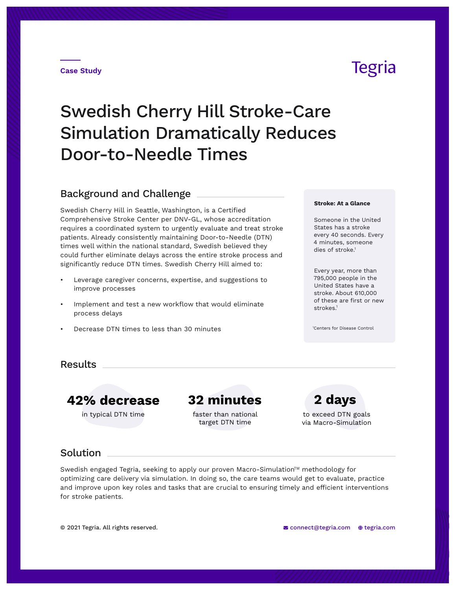#### **Case Study**

# Swedish Cherry Hill Stroke-Care Simulation Dramatically Reduces Door-to-Needle Times

## Background and Challenge

Swedish Cherry Hill in Seattle, Washington, is a Certified Comprehensive Stroke Center per DNV-GL, whose accreditation requires a coordinated system to urgently evaluate and treat stroke patients. Already consistently maintaining Door-to-Needle (DTN) times well within the national standard, Swedish believed they could further eliminate delays across the entire stroke process and significantly reduce DTN times. Swedish Cherry Hill aimed to:

- Leverage caregiver concerns, expertise, and suggestions to improve processes
- Implement and test a new workflow that would eliminate process delays
- Decrease DTN times to less than 30 minutes

#### **Stroke: At a Glance**

Someone in the United States has a stroke every 40 seconds. Every 4 minutes, someone dies of stroke.<sup>1</sup>

Every year, more than 795,000 people in the United States have a stroke. About 610,000 of these are first or new strokes.<sup>1</sup>

1 Centers for Disease Control

### **Results**

**42% decrease 32 minutes 2 days**

in typical DTN time **that in the total of the total contract** to exceed DTN goals faster than national target DTN time

via Macro-Simulation

**Solution** 

Swedish engaged Tegria, seeking to apply our proven Macro-Simulation™ methodology for optimizing care delivery via simulation. In doing so, the care teams would get to evaluate, practice and improve upon key roles and tasks that are crucial to ensuring timely and efficient interventions for stroke patients.

## Tegria